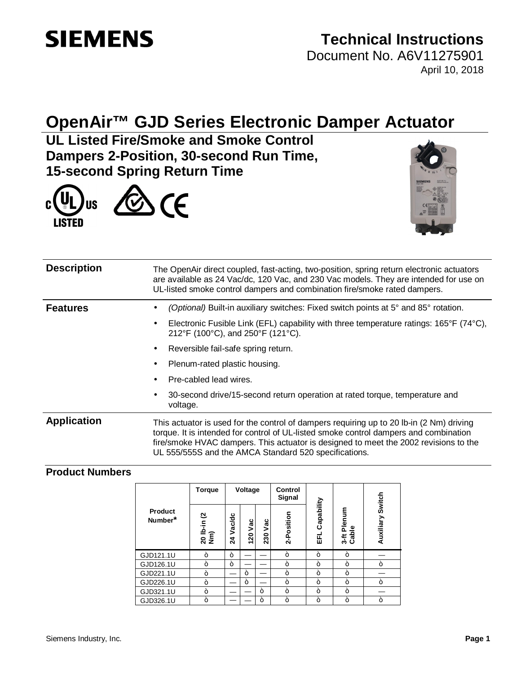# **SIEMENS**

## **Technical Instructions**

Document No. A6V11275901 April 10, 2018

## **OpenAir™ GJD Series Electronic Damper Actuator**

**UL Listed Fire/Smoke and Smoke Control Dampers 2-Position, 30-second Run Time, 15-second Spring Return Time**





| <b>Description</b> | The OpenAir direct coupled, fast-acting, two-position, spring return electronic actuators<br>are available as 24 Vac/dc, 120 Vac, and 230 Vac models. They are intended for use on<br>UL-listed smoke control dampers and combination fire/smoke rated dampers.                                                                    |  |  |
|--------------------|------------------------------------------------------------------------------------------------------------------------------------------------------------------------------------------------------------------------------------------------------------------------------------------------------------------------------------|--|--|
| <b>Features</b>    | (Optional) Built-in auxiliary switches: Fixed switch points at 5° and 85° rotation.<br>٠                                                                                                                                                                                                                                           |  |  |
|                    | Electronic Fusible Link (EFL) capability with three temperature ratings: $165^{\circ}F$ (74 $^{\circ}C$ ),<br>٠<br>212°F (100°C), and 250°F (121°C).                                                                                                                                                                               |  |  |
|                    | Reversible fail-safe spring return.<br>٠                                                                                                                                                                                                                                                                                           |  |  |
|                    | Plenum-rated plastic housing.<br>٠                                                                                                                                                                                                                                                                                                 |  |  |
|                    | Pre-cabled lead wires.<br>٠                                                                                                                                                                                                                                                                                                        |  |  |
|                    | 30-second drive/15-second return operation at rated torque, temperature and<br>٠<br>voltage.                                                                                                                                                                                                                                       |  |  |
| <b>Application</b> | This actuator is used for the control of dampers requiring up to 20 lb-in (2 Nm) driving<br>torque. It is intended for control of UL-listed smoke control dampers and combination<br>fire/smoke HVAC dampers. This actuator is designed to meet the 2002 revisions to the<br>UL 555/555S and the AMCA Standard 520 specifications. |  |  |

### **Product Numbers**

|                           | <b>Torque</b>      |              | Voltage |            | Control<br>Signal |                       |                            | Switch    |  |
|---------------------------|--------------------|--------------|---------|------------|-------------------|-----------------------|----------------------------|-----------|--|
| <b>Product</b><br>Number* | 20 lb-in (2<br>Nm) | Vac/dc<br>24 | 120 Vac | Vac<br>230 | 2-Position        | Capability<br>릆       | Plenum<br>3-ft Pl<br>Cable | Auxiliary |  |
| GJD121.1U                 | سد                 | سد           |         |            | in.               | a.                    | ÷                          |           |  |
| GJD126.1U                 | ÷                  | سد           |         |            | ÷                 | ÷                     | سد                         | ÷         |  |
| GJD221.1U                 | سد                 |              | ÷       |            | ÷                 | $\tilde{\phantom{a}}$ | سد                         |           |  |
| GJD226.1U                 |                    |              | ÷       |            | ÷                 | ÷                     | سد                         | ÷         |  |
| GJD321.1U                 |                    |              |         | a.         | ÷                 | ÷                     | ے                          |           |  |
| GJD326.1U                 | ÷                  |              |         | سد         | ÷                 | سد                    | ÷                          | i.        |  |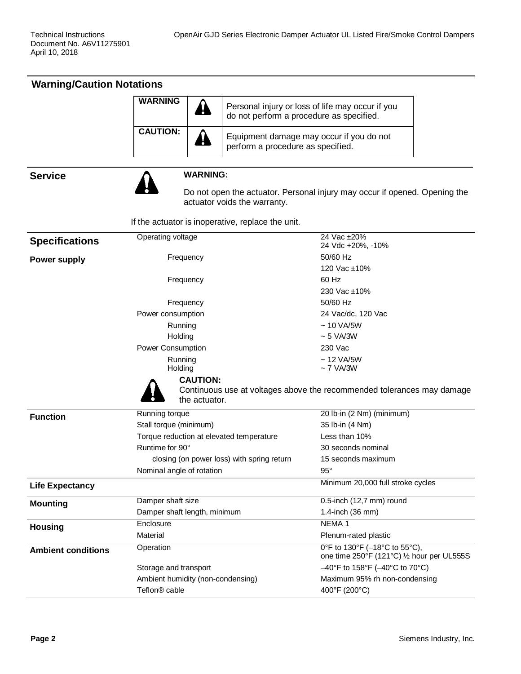| <b>Warning/Caution Notations</b> |                                          |                                                   |                                                                             |  |
|----------------------------------|------------------------------------------|---------------------------------------------------|-----------------------------------------------------------------------------|--|
|                                  | <b>WARNING</b>                           | do not perform a procedure as specified.          | Personal injury or loss of life may occur if you                            |  |
|                                  | <b>CAUTION:</b>                          | perform a procedure as specified.                 | Equipment damage may occur if you do not                                    |  |
| <b>Service</b>                   | <b>WARNING:</b>                          |                                                   |                                                                             |  |
|                                  |                                          | actuator voids the warranty.                      | Do not open the actuator. Personal injury may occur if opened. Opening the  |  |
|                                  |                                          | If the actuator is inoperative, replace the unit. |                                                                             |  |
| <b>Specifications</b>            | Operating voltage                        |                                                   | 24 Vac ±20%<br>24 Vdc +20%, -10%                                            |  |
| <b>Power supply</b>              | Frequency                                |                                                   | 50/60 Hz<br>120 Vac ±10%                                                    |  |
|                                  | Frequency                                |                                                   | 60 Hz<br>230 Vac ±10%                                                       |  |
|                                  | Frequency<br>Power consumption           |                                                   | 50/60 Hz<br>24 Vac/dc, 120 Vac                                              |  |
|                                  | Running                                  |                                                   | $~10$ VA/5W                                                                 |  |
|                                  | Holding                                  |                                                   | $~5$ VA/3W                                                                  |  |
|                                  | Power Consumption                        |                                                   | 230 Vac                                                                     |  |
|                                  | Running<br>Holding                       |                                                   | $~12$ VA/5W<br>$\sim$ 7 VA/3W                                               |  |
|                                  | <b>CAUTION:</b><br>the actuator.         |                                                   | Continuous use at voltages above the recommended tolerances may damage      |  |
| <b>Function</b>                  | Running torque                           |                                                   | 20 lb-in (2 Nm) (minimum)                                                   |  |
|                                  | Stall torque (minimum)                   |                                                   | 35 lb-in (4 Nm)                                                             |  |
|                                  | Torque reduction at elevated temperature |                                                   | Less than 10%                                                               |  |
|                                  | Runtime for 90°                          |                                                   | 30 seconds nominal                                                          |  |
|                                  |                                          | closing (on power loss) with spring return        | 15 seconds maximum                                                          |  |
|                                  | Nominal angle of rotation                |                                                   | $95^{\circ}$                                                                |  |
| <b>Life Expectancy</b>           |                                          |                                                   | Minimum 20,000 full stroke cycles                                           |  |
| <b>Mounting</b>                  | Damper shaft size                        |                                                   | 0.5-inch (12,7 mm) round                                                    |  |
|                                  | Damper shaft length, minimum             |                                                   | 1.4-inch (36 mm)                                                            |  |
| <b>Housing</b>                   | Enclosure                                |                                                   | NEMA <sub>1</sub>                                                           |  |
|                                  | Material                                 |                                                   | Plenum-rated plastic                                                        |  |
| <b>Ambient conditions</b>        | Operation                                |                                                   | 0°F to 130°F (-18°C to 55°C),<br>one time 250°F (121°C) 1/2 hour per UL555S |  |
|                                  | Storage and transport                    |                                                   | $-40^{\circ}$ F to 158°F ( $-40^{\circ}$ C to 70°C)                         |  |
|                                  | Ambient humidity (non-condensing)        |                                                   | Maximum 95% rh non-condensing                                               |  |
|                                  | Teflon <sup>®</sup> cable                |                                                   | 400°F (200°C)                                                               |  |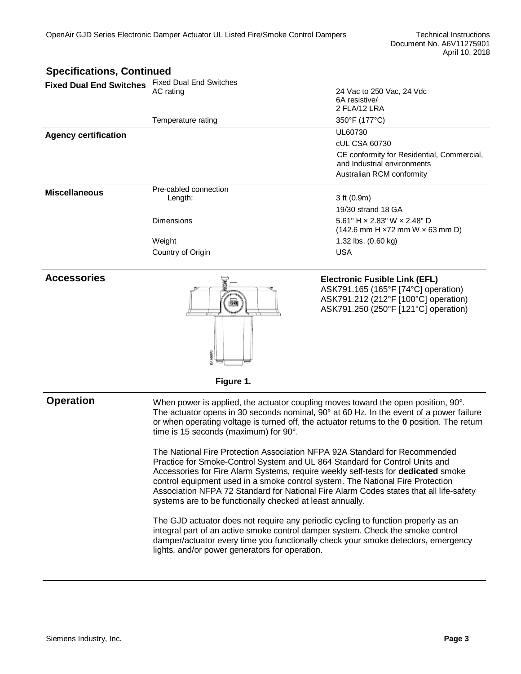| <b>Specifications, Continued</b> |                                             |                                                                                               |  |
|----------------------------------|---------------------------------------------|-----------------------------------------------------------------------------------------------|--|
| <b>Fixed Dual End Switches</b>   | <b>Fixed Dual End Switches</b><br>AC rating | 24 Vac to 250 Vac, 24 Vdc<br>6A resistive/<br>2 FLA/12 LRA                                    |  |
|                                  | Temperature rating                          | 350°F (177°C)                                                                                 |  |
| <b>Agency certification</b>      |                                             | UL60730                                                                                       |  |
|                                  |                                             | cUL CSA 60730                                                                                 |  |
|                                  |                                             | CE conformity for Residential, Commercial,<br>and Industrial environments                     |  |
|                                  |                                             | Australian RCM conformity                                                                     |  |
| <b>Miscellaneous</b>             | Pre-cabled connection                       |                                                                                               |  |
|                                  | Length:                                     | 3 ft (0.9m)                                                                                   |  |
|                                  |                                             | 19/30 strand 18 GA                                                                            |  |
|                                  | <b>Dimensions</b>                           | 5.61" H $\times$ 2.83" W $\times$ 2.48" D<br>$(142.6$ mm H $\times$ 72 mm W $\times$ 63 mm D) |  |
|                                  | Weight                                      | 1.32 lbs. (0.60 kg)                                                                           |  |
|                                  | Country of Origin                           | <b>USA</b>                                                                                    |  |
|                                  |                                             |                                                                                               |  |

#### **Accessories**



**Electronic Fusible Link (EFL)** ASK791.165 (165°F [74°C] operation) ASK791.212 (212°F [100°C] operation) ASK791.250 (250°F [121°C] operation)

**Figure 1.**

**Operation** When power is applied, the actuator coupling moves toward the open position, 90°. The actuator opens in 30 seconds nominal, 90° at 60 Hz. In the event of a power failure or when operating voltage is turned off, the actuator returns to the **0** position. The return time is 15 seconds (maximum) for 90°.

> The National Fire Protection Association NFPA 92A Standard for Recommended Practice for Smoke-Control System and UL 864 Standard for Control Units and Accessories for Fire Alarm Systems, require weekly self-tests for **dedicated** smoke control equipment used in a smoke control system. The National Fire Protection Association NFPA 72 Standard for National Fire Alarm Codes states that all life-safety systems are to be functionally checked at least annually.

> The GJD actuator does not require any periodic cycling to function properly as an integral part of an active smoke control damper system. Check the smoke control damper/actuator every time you functionally check your smoke detectors, emergency lights, and/or power generators for operation.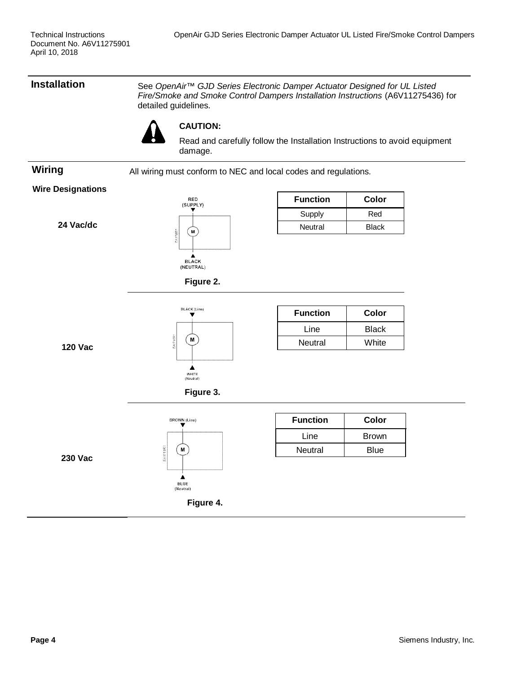**Installation** See *OpenAir™ GJD Series Electronic Damper Actuator Designed for UL Listed Fire/Smoke and Smoke Control Dampers Installation Instructions* (A6V11275436) for detailed guidelines.



#### **CAUTION:**

Read and carefully follow the Installation Instructions to avoid equipment damage.

**Wiring** All wiring must conform to NEC and local codes and regulations.

#### **Wire Designations**

**24 Vac/dc**



| <b>Function</b> | Color |  |
|-----------------|-------|--|
| Supply          | Red   |  |
| Neutral         | Black |  |



**Figure 2.**



| <b>Function</b> | Color        |
|-----------------|--------------|
| Line            | <b>Black</b> |
| Neutral         | White        |

**120 Vac**



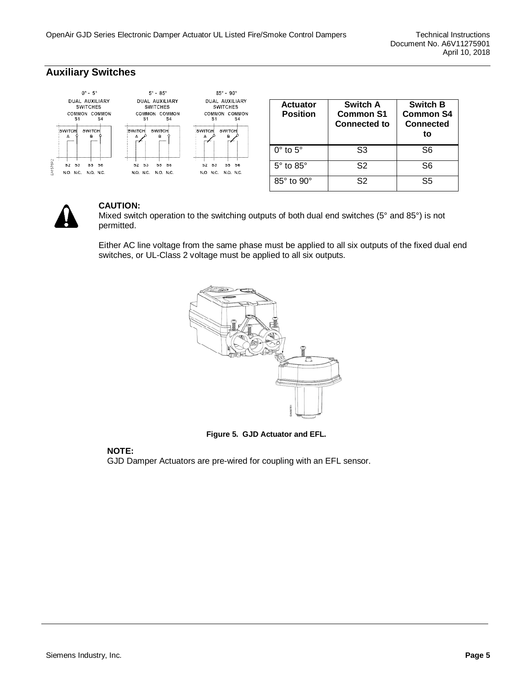### **Auxiliary Switches**



| <b>Actuator</b><br><b>Position</b> | Switch A<br><b>Common S1</b><br><b>Connected to</b> | <b>Switch B</b><br><b>Common S4</b><br><b>Connected</b><br>to |
|------------------------------------|-----------------------------------------------------|---------------------------------------------------------------|
| $0^\circ$ to $5^\circ$             | S3                                                  | S6                                                            |
| $5^\circ$ to $85^\circ$            | S2                                                  | S6                                                            |
| $85^\circ$ to $90^\circ$           | S2                                                  | S5                                                            |



#### **CAUTION:**

Mixed switch operation to the switching outputs of both dual end switches (5° and 85°) is not permitted.

Either AC line voltage from the same phase must be applied to all six outputs of the fixed dual end switches, or UL-Class 2 voltage must be applied to all six outputs.



**Figure 5. GJD Actuator and EFL.**

#### **NOTE:**

GJD Damper Actuators are pre-wired for coupling with an EFL sensor.